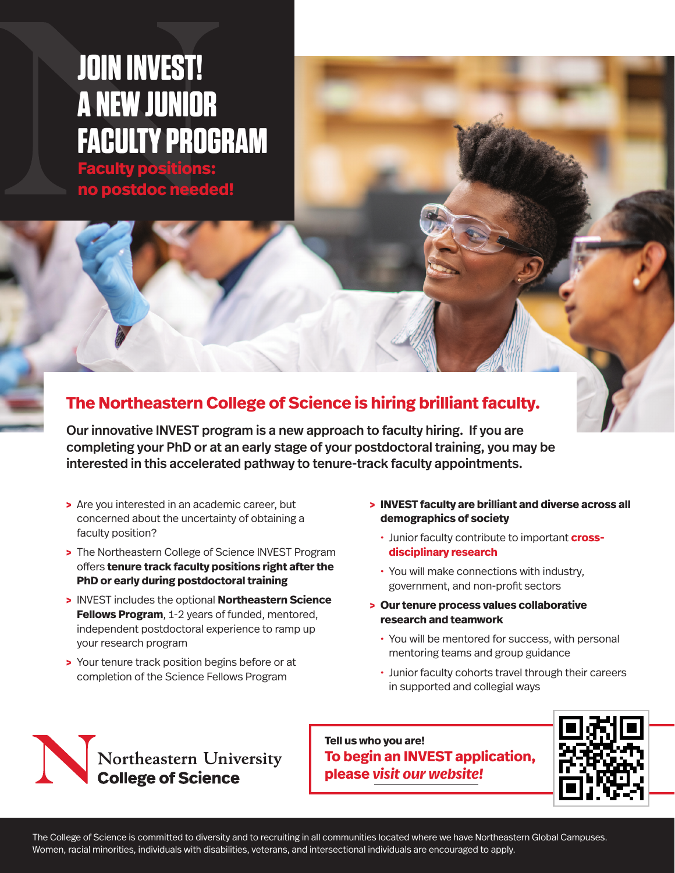# **[JOIN INVEST!](https://cos.northeastern.edu/invest-hiring-for-excellence-and-diversity/)  [A NEW JUNIOR](https://cos.northeastern.edu/invest-hiring-for-excellence-and-diversity/)  [FACULTY PROGRAM](https://cos.northeastern.edu/invest-hiring-for-excellence-and-diversity/)**

**[Faculty positions:](https://cos.northeastern.edu/invest-hiring-for-excellence-and-diversity/)  [no postdoc needed!](https://cos.northeastern.edu/invest-hiring-for-excellence-and-diversity/)**

# **The Northeastern College of Science is hiring brilliant faculty.**

Our innovative INVEST program is a new approach to faculty hiring. If you are completing your PhD or at an early stage of your postdoctoral training, you may be interested in this accelerated pathway to tenure-track faculty appointments.

- **>** Are you interested in an academic career, but concerned about the uncertainty of obtaining a faculty position?
- **>** The Northeastern College of Science INVEST Program offers **tenure track faculty positions right after the PhD or early during postdoctoral training**
- **>** INVEST includes the optional **Northeastern Science Fellows Program, 1-2 years of funded, mentored,** independent postdoctoral experience to ramp up your research program
- **>** Your tenure track position begins before or at completion of the Science Fellows Program
- **> INVEST faculty are brilliant and diverse across all demographics of society**
	- **·** Junior faculty contribute to important **crossdisciplinary research**
	- **·** You will make connections with industry, government, and non-profit sectors
- **> Our tenure process values collaborative research and teamwork** 
	- **·** You will be mentored for success, with personal mentoring teams and group guidance
	- **·** Junior faculty cohorts travel through their careers in supported and collegial ways



**Tell us who you are! To begin an INVEST application, please** *[visit our website!](https://cos.northeastern.edu/invest-hiring-for-excellence-and-diversity/)*